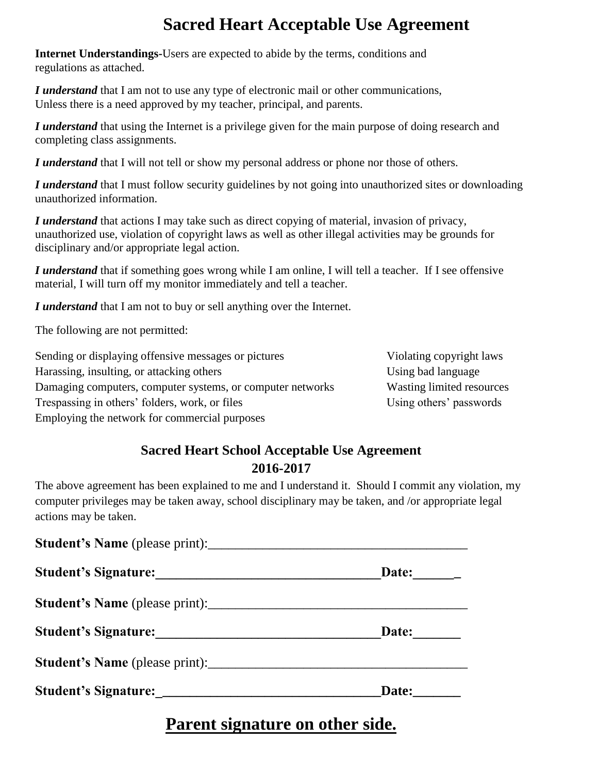# **Sacred Heart Acceptable Use Agreement**

**Internet Understandings-**Users are expected to abide by the terms, conditions and regulations as attached.

*I understand* that I am not to use any type of electronic mail or other communications, Unless there is a need approved by my teacher, principal, and parents.

*I understand* that using the Internet is a privilege given for the main purpose of doing research and completing class assignments.

*I understand* that I will not tell or show my personal address or phone nor those of others.

*I understand* that I must follow security guidelines by not going into unauthorized sites or downloading unauthorized information.

*I understand* that actions I may take such as direct copying of material, invasion of privacy, unauthorized use, violation of copyright laws as well as other illegal activities may be grounds for disciplinary and/or appropriate legal action.

*I understand* that if something goes wrong while I am online, I will tell a teacher. If I see offensive material, I will turn off my monitor immediately and tell a teacher.

*I understand* that I am not to buy or sell anything over the Internet.

The following are not permitted:

| Sending or displaying offensive messages or pictures       | Violating copyright laws  |
|------------------------------------------------------------|---------------------------|
| Harassing, insulting, or attacking others                  | Using bad language        |
| Damaging computers, computer systems, or computer networks | Wasting limited resources |
| Trespassing in others' folders, work, or files             | Using others' passwords   |
| Employing the network for commercial purposes              |                           |

#### **Sacred Heart School Acceptable Use Agreement 2016-2017**

The above agreement has been explained to me and I understand it. Should I commit any violation, my computer privileges may be taken away, school disciplinary may be taken, and /or appropriate legal actions may be taken.

| Student's Name (please print): |       |
|--------------------------------|-------|
| Student's Signature:           | Date: |
|                                |       |
| Student's Signature:           | Date: |
|                                |       |
|                                | Date: |

### **Parent signature on other side.**